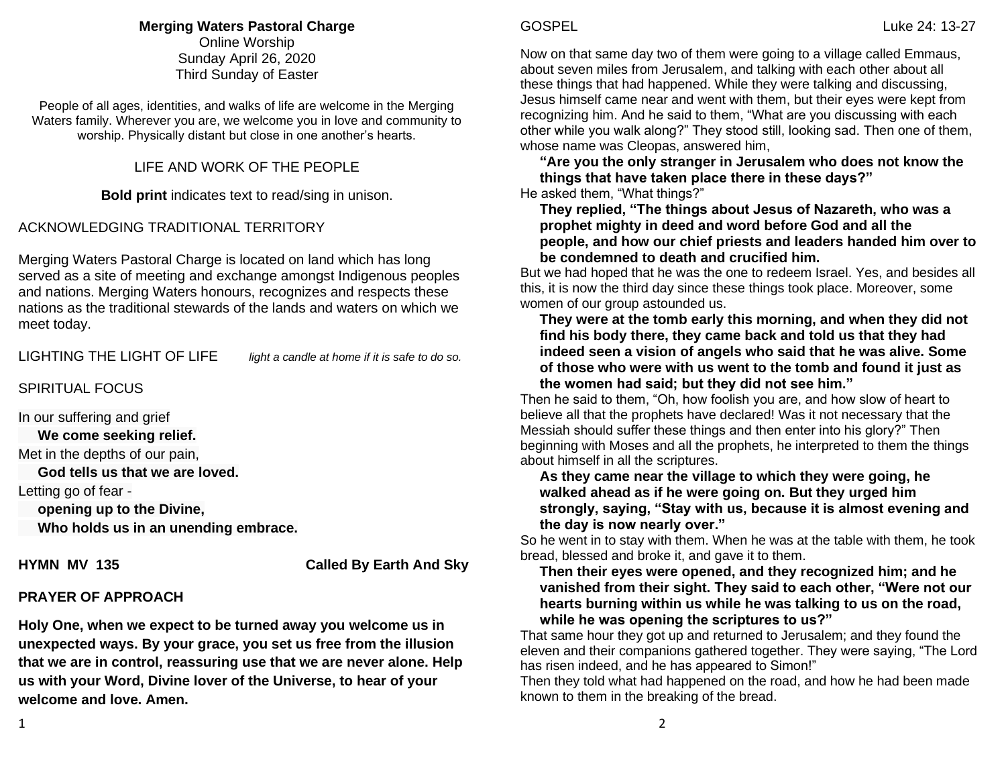### **Merging Waters Pastoral Charge**

Online Worship Sunday April 26, 2020 Third Sunday of Easter

People of all ages, identities, and walks of life are welcome in the Merging Waters family. Wherever you are, we welcome you in love and community to worship. Physically distant but close in one another's hearts.

## LIFE AND WORK OF THE PEOPLE

**Bold print** indicates text to read/sing in unison.

# ACKNOWLEDGING TRADITIONAL TERRITORY

Merging Waters Pastoral Charge is located on land which has long served as a site of meeting and exchange amongst Indigenous peoples and nations. Merging Waters honours, recognizes and respects these nations as the traditional stewards of the lands and waters on which we meet today.

LIGHTING THE LIGHT OF LIFE *light a candle at home if it is safe to do so.*

# SPIRITUAL FOCUS

In our suffering and grief  **We come seeking relief.** Met in the depths of our pain,  **God tells us that we are loved.** Letting go of fear **opening up to the Divine, Who holds us in an unending embrace.**

**HYMN MV 135 Called By Earth And Sky**

# **PRAYER OF APPROACH**

**Holy One, when we expect to be turned away you welcome us in unexpected ways. By your grace, you set us free from the illusion that we are in control, reassuring use that we are never alone. Help us with your Word, Divine lover of the Universe, to hear of your welcome and love. Amen.**

Now on that same day two of them were going to a village called Emmaus, about seven miles from Jerusalem, and talking with each other about all these things that had happened. While they were talking and discussing, Jesus himself came near and went with them, but their eyes were kept from recognizing him. And he said to them, "What are you discussing with each other while you walk along?" They stood still, looking sad. Then one of them, whose name was Cleopas, answered him,

 **"Are you the only stranger in Jerusalem who does not know the things that have taken place there in these days?"**

He asked them, "What things?"

 **They replied, "The things about Jesus of Nazareth, who was a prophet mighty in deed and word before God and all the people, and how our chief priests and leaders handed him over to be condemned to death and crucified him.**

But we had hoped that he was the one to redeem Israel. Yes, and besides all this, it is now the third day since these things took place. Moreover, some women of our group astounded us.

 **They were at the tomb early this morning, and when they did not find his body there, they came back and told us that they had indeed seen a vision of angels who said that he was alive. Some of those who were with us went to the tomb and found it just as the women had said; but they did not see him."**

Then he said to them, "Oh, how foolish you are, and how slow of heart to believe all that the prophets have declared! Was it not necessary that the Messiah should suffer these things and then enter into his glory?" Then beginning with Moses and all the prophets, he interpreted to them the things about himself in all the scriptures.

 **As they came near the village to which they were going, he walked ahead as if he were going on. But they urged him strongly, saying, "Stay with us, because it is almost evening and the day is now nearly over."**

So he went in to stay with them. When he was at the table with them, he took bread, blessed and broke it, and gave it to them.

 **Then their eyes were opened, and they recognized him; and he vanished from their sight. They said to each other, "Were not our hearts burning within us while he was talking to us on the road, while he was opening the scriptures to us?"**

That same hour they got up and returned to Jerusalem; and they found the eleven and their companions gathered together. They were saying, "The Lord has risen indeed, and he has appeared to Simon!"

Then they told what had happened on the road, and how he had been made known to them in the breaking of the bread.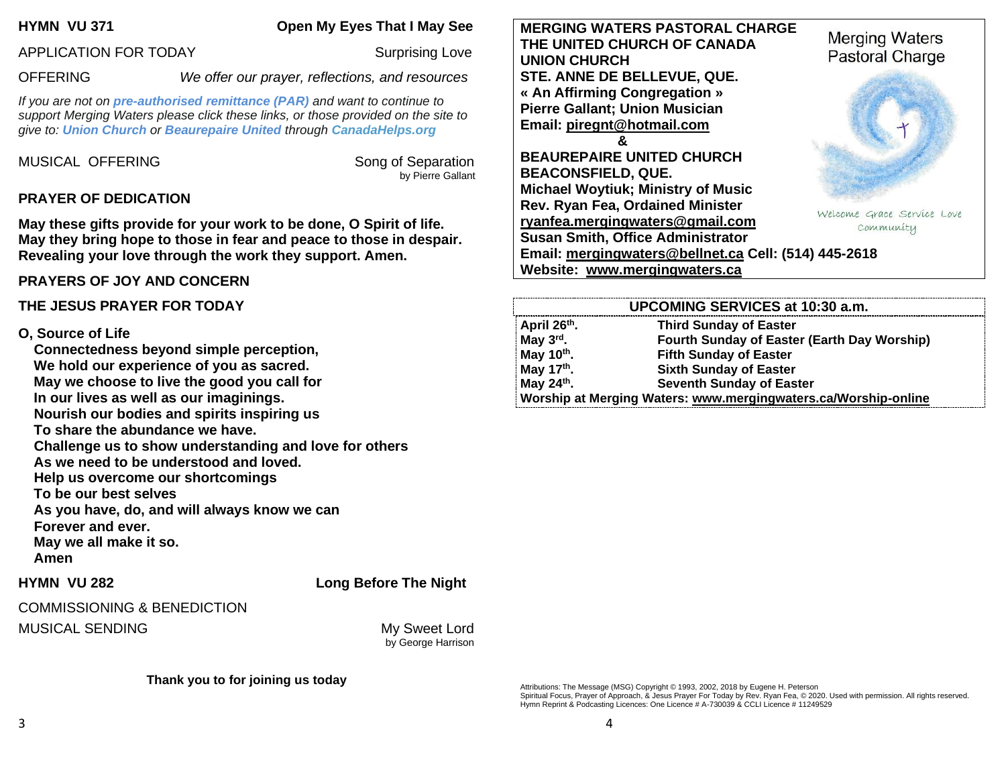## **HYMN VU 371 Open My Eyes That I May See**

### APPLICATION FOR TODAY Surprising Love

OFFERING *We offer our prayer, reflections, and resources*

*If you are not on pre-authorised [remittance \(PAR\)](http://mergingwaters.ca/mt-content/uploads/2020/03/form_par-authorization.pdf) and want to continue to support Merging Waters please click these links, or those provided on the site to give to: [Union Church](https://www.canadahelps.org/en/charities/union-church-ste-anne-de-bellevue/) or [Beaurepaire United](https://www.canadahelps.org/en/charities/beaurepaire-united-church/) through [CanadaHelps.org](http://www.canadahelps.org/)* 

# MUSICAL OFFERING Song of Separation

by Pierre Gallant

# **PRAYER OF DEDICATION**

**May these gifts provide for your work to be done, O Spirit of life. May they bring hope to those in fear and peace to those in despair. Revealing your love through the work they support. Amen.**

## **PRAYERS OF JOY AND CONCERN**

## **THE JESUS PRAYER FOR TODAY**

### **O, Source of Life**

**Connectedness beyond simple perception, We hold our experience of you as sacred. May we choose to live the good you call for In our lives as well as our imaginings. Nourish our bodies and spirits inspiring us To share the abundance we have. Challenge us to show understanding and love for others As we need to be understood and loved. Help us overcome our shortcomings To be our best selves As you have, do, and will always know we can Forever and ever. May we all make it so. Amen**

## **HYMN VU 282 Long Before The Night**

COMMISSIONING & BENEDICTION MUSICAL SENDING **MUSICAL SENDING** 

by George Harrison

**Thank you to for joining us today**

**MERGING WATERS PASTORAL CHARGE THE UNITED CHURCH OF CANADA UNION CHURCH STE. ANNE DE BELLEVUE, QUE. « An Affirming Congregation » Pierre Gallant; Union Musician Email: [piregnt@hotmail.com](mailto:piregnt@hotmail.com) &**

**BEAUREPAIRE UNITED CHURCH BEACONSFIELD, QUE. Michael Woytiuk; Ministry of Music Rev. Ryan Fea, Ordained Minister [ryanfea.mergingwaters@gmail.com](mailto:ryanfea.mergingwaters@gmail.com)  Susan Smith, Office Administrator Email: [mergingwaters@bellnet.ca](mailto:mergingwaters@bellnet.ca) Cell: (514) 445-2618 Website: [www.mergingwaters.ca](http://www.mergingwaters.ca/)**





Welcome Grace Service Love community

**UPCOMING SERVICES at 10:30 a.m. April 26th . Third Sunday of Easter May 3rd . Fourth Sunday of Easter (Earth Day Worship) May 10th . Fifth Sunday of Easter May 17th . Sixth Sunday of Easter May 24th . Seventh Sunday of Easter Worship at Merging Waters: [www.mergingwaters.ca/Worship-online](http://www.mergingwaters.ca/Worship-online)**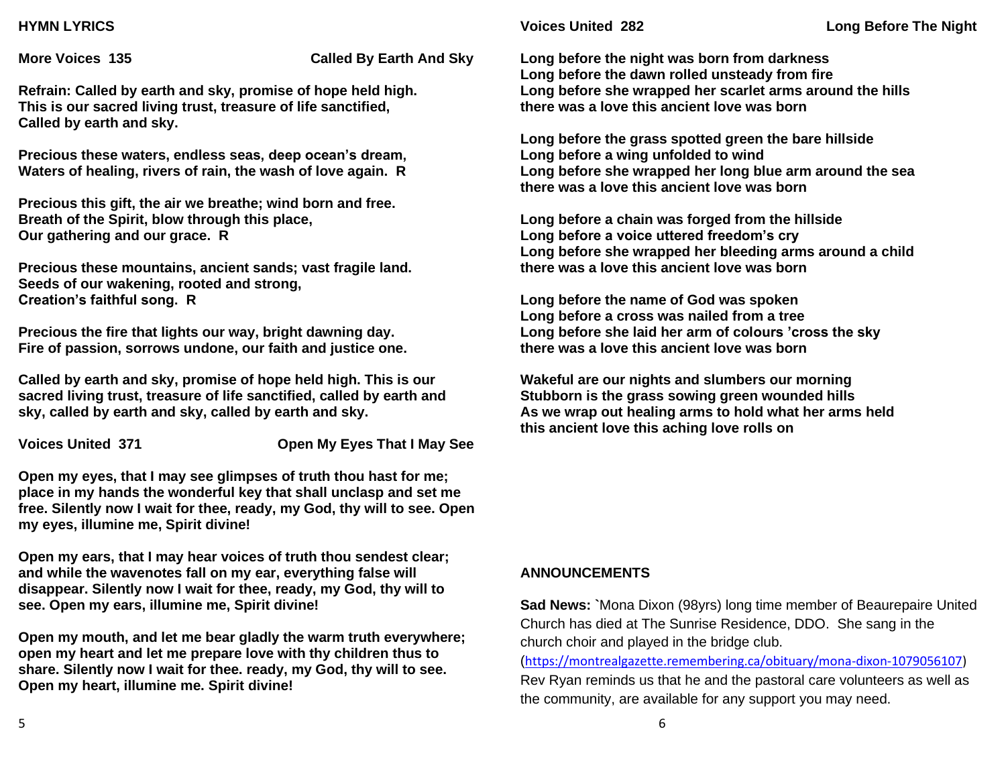### **HYMN LYRICS**

### **More Voices 135 Called By Earth And Sky**

**Refrain: Called by earth and sky, promise of hope held high. This is our sacred living trust, treasure of life sanctified, Called by earth and sky.**

**Precious these waters, endless seas, deep ocean's dream, Waters of healing, rivers of rain, the wash of love again. R**

**Precious this gift, the air we breathe; wind born and free. Breath of the Spirit, blow through this place, Our gathering and our grace. R**

**Precious these mountains, ancient sands; vast fragile land. Seeds of our wakening, rooted and strong, Creation's faithful song. R**

**Precious the fire that lights our way, bright dawning day. Fire of passion, sorrows undone, our faith and justice one.** 

**Called by earth and sky, promise of hope held high. This is our sacred living trust, treasure of life sanctified, called by earth and sky, called by earth and sky, called by earth and sky.**

**Voices United 371 Open My Eyes That I May See**

**Open my eyes, that I may see glimpses of truth thou hast for me; place in my hands the wonderful key that shall unclasp and set me free. Silently now I wait for thee, ready, my God, thy will to see. Open my eyes, illumine me, Spirit divine!**

**Open my ears, that I may hear voices of truth thou sendest clear; and while the wavenotes fall on my ear, everything false will disappear. Silently now I wait for thee, ready, my God, thy will to see. Open my ears, illumine me, Spirit divine!**

**Open my mouth, and let me bear gladly the warm truth everywhere; open my heart and let me prepare love with thy children thus to share. Silently now I wait for thee. ready, my God, thy will to see. Open my heart, illumine me. Spirit divine!**

**Voices United 282 Long Before The Night** 

**Long before the night was born from darkness Long before the dawn rolled unsteady from fire Long before she wrapped her scarlet arms around the hills there was a love this ancient love was born**

**Long before the grass spotted green the bare hillside Long before a wing unfolded to wind Long before she wrapped her long blue arm around the sea there was a love this ancient love was born**

**Long before a chain was forged from the hillside Long before a voice uttered freedom's cry Long before she wrapped her bleeding arms around a child there was a love this ancient love was born**

**Long before the name of God was spoken Long before a cross was nailed from a tree Long before she laid her arm of colours 'cross the sky there was a love this ancient love was born**

**Wakeful are our nights and slumbers our morning Stubborn is the grass sowing green wounded hills As we wrap out healing arms to hold what her arms held this ancient love this aching love rolls on**

### **ANNOUNCEMENTS**

**Sad News: `**Mona Dixon (98yrs) long time member of Beaurepaire United Church has died at The Sunrise Residence, DDO. She sang in the church choir and played in the bridge club.

([https://montrealgazette.remembering.ca/obituary/mona-dixon-1079056107\)](https://montrealgazette.remembering.ca/obituary/mona-dixon-1079056107) Rev Ryan reminds us that he and the pastoral care volunteers as well as the community, are available for any support you may need.